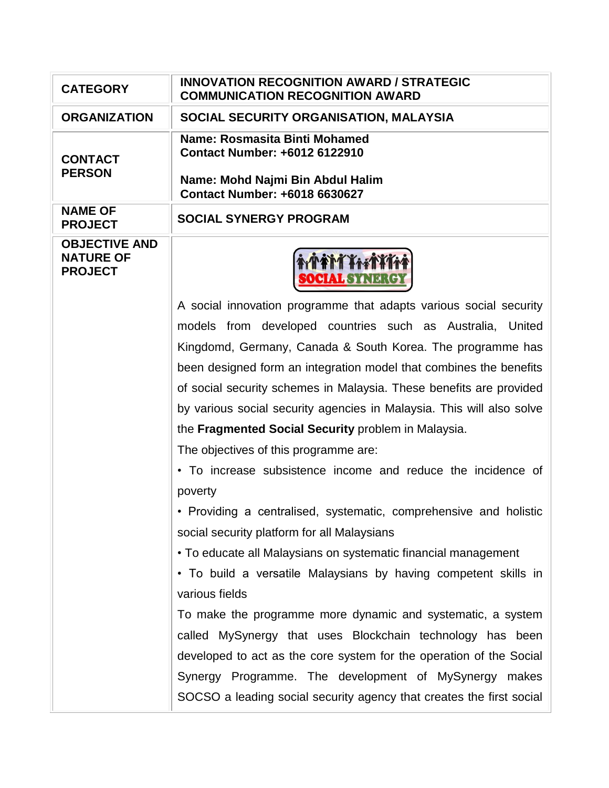| <b>CATEGORY</b>                                            | <b>INNOVATION RECOGNITION AWARD / STRATEGIC</b><br><b>COMMUNICATION RECOGNITION AWARD</b>                                           |
|------------------------------------------------------------|-------------------------------------------------------------------------------------------------------------------------------------|
| <b>ORGANIZATION</b>                                        | SOCIAL SECURITY ORGANISATION, MALAYSIA                                                                                              |
| <b>CONTACT</b><br><b>PERSON</b>                            | Name: Rosmasita Binti Mohamed<br>Contact Number: +6012 6122910<br>Name: Mohd Najmi Bin Abdul Halim<br>Contact Number: +6018 6630627 |
| <b>NAME OF</b><br><b>PROJECT</b>                           | <b>SOCIAL SYNERGY PROGRAM</b>                                                                                                       |
| <b>OBJECTIVE AND</b><br><b>NATURE OF</b><br><b>PROJECT</b> | <b>MARTHITT</b><br><b>DCIAL STREAMER</b>                                                                                            |
|                                                            | A social innovation programme that adapts various social security                                                                   |
|                                                            | models from developed countries such as Australia, United                                                                           |
|                                                            | Kingdomd, Germany, Canada & South Korea. The programme has                                                                          |
|                                                            | been designed form an integration model that combines the benefits                                                                  |
|                                                            | of social security schemes in Malaysia. These benefits are provided                                                                 |
|                                                            | by various social security agencies in Malaysia. This will also solve                                                               |
|                                                            | the Fragmented Social Security problem in Malaysia.                                                                                 |
|                                                            | The objectives of this programme are:                                                                                               |
|                                                            | • To increase subsistence income and reduce the incidence of<br>poverty                                                             |
|                                                            | • Providing a centralised, systematic, comprehensive and holistic                                                                   |
|                                                            | social security platform for all Malaysians                                                                                         |
|                                                            | • To educate all Malaysians on systematic financial management                                                                      |
|                                                            | • To build a versatile Malaysians by having competent skills in                                                                     |
|                                                            | various fields                                                                                                                      |
|                                                            | To make the programme more dynamic and systematic, a system                                                                         |
|                                                            | called MySynergy that uses Blockchain technology has been                                                                           |
|                                                            | developed to act as the core system for the operation of the Social                                                                 |
|                                                            | Synergy Programme. The development of MySynergy makes                                                                               |
|                                                            | SOCSO a leading social security agency that creates the first social                                                                |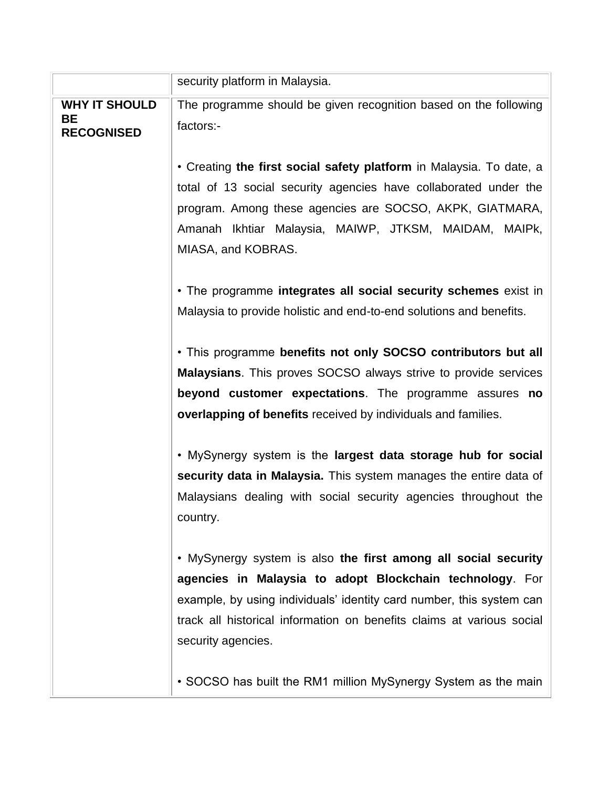|                                | security platform in Malaysia.                                         |
|--------------------------------|------------------------------------------------------------------------|
| <b>WHY IT SHOULD</b>           | The programme should be given recognition based on the following       |
| <b>BE</b><br><b>RECOGNISED</b> | factors:-                                                              |
|                                |                                                                        |
|                                | • Creating the first social safety platform in Malaysia. To date, a    |
|                                | total of 13 social security agencies have collaborated under the       |
|                                | program. Among these agencies are SOCSO, AKPK, GIATMARA,               |
|                                | Amanah Ikhtiar Malaysia, MAIWP, JTKSM, MAIDAM, MAIPk,                  |
|                                | MIASA, and KOBRAS.                                                     |
|                                |                                                                        |
|                                | . The programme integrates all social security schemes exist in        |
|                                | Malaysia to provide holistic and end-to-end solutions and benefits.    |
|                                | . This programme benefits not only SOCSO contributors but all          |
|                                | <b>Malaysians.</b> This proves SOCSO always strive to provide services |
|                                | beyond customer expectations. The programme assures no                 |
|                                | overlapping of benefits received by individuals and families.          |
|                                |                                                                        |
|                                | . MySynergy system is the largest data storage hub for social          |
|                                | security data in Malaysia. This system manages the entire data of      |
|                                | Malaysians dealing with social security agencies throughout the        |
|                                | country.                                                               |
|                                |                                                                        |
|                                | . MySynergy system is also the first among all social security         |
|                                | agencies in Malaysia to adopt Blockchain technology. For               |
|                                | example, by using individuals' identity card number, this system can   |
|                                | track all historical information on benefits claims at various social  |
|                                | security agencies.                                                     |
|                                | • SOCSO has built the RM1 million MySynergy System as the main         |
|                                |                                                                        |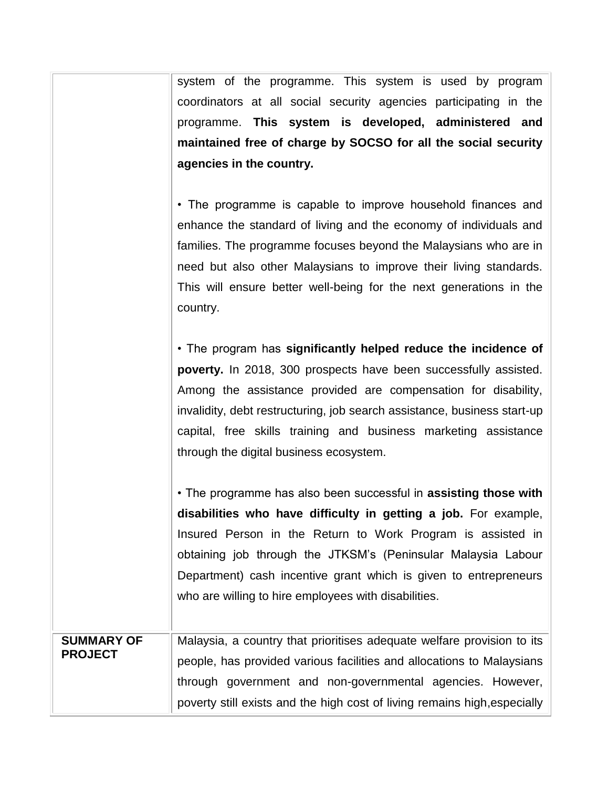system of the programme. This system is used by program coordinators at all social security agencies participating in the programme. **This system is developed, administered and maintained free of charge by SOCSO for all the social security agencies in the country.**

• The programme is capable to improve household finances and enhance the standard of living and the economy of individuals and families. The programme focuses beyond the Malaysians who are in need but also other Malaysians to improve their living standards. This will ensure better well-being for the next generations in the country.

• The program has **significantly helped reduce the incidence of poverty.** In 2018, 300 prospects have been successfully assisted. Among the assistance provided are compensation for disability, invalidity, debt restructuring, job search assistance, business start-up capital, free skills training and business marketing assistance through the digital business ecosystem.

• The programme has also been successful in **assisting those with disabilities who have difficulty in getting a job.** For example, Insured Person in the Return to Work Program is assisted in obtaining job through the JTKSM's (Peninsular Malaysia Labour Department) cash incentive grant which is given to entrepreneurs who are willing to hire employees with disabilities.

## **SUMMARY OF PROJECT** Malaysia, a country that prioritises adequate welfare provision to its people, has provided various facilities and allocations to Malaysians through government and non-governmental agencies. However, poverty still exists and the high cost of living remains high,especially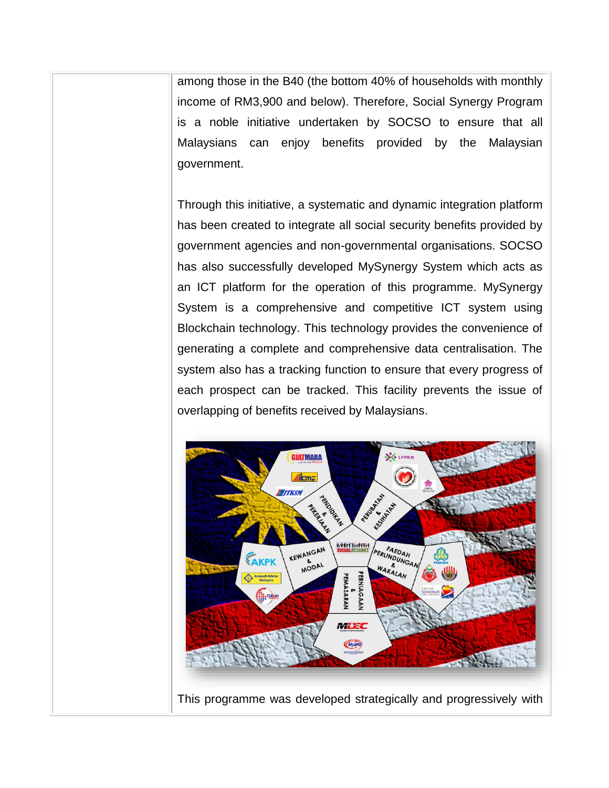among those in the B40 (the bottom 40% of households with monthly income of RM3,900 and below). Therefore, Social Synergy Program is a noble initiative undertaken by SOCSO to ensure that all Malaysians can enjoy benefits provided by the Malaysian government.

Through this initiative, a systematic and dynamic integration platform has been created to integrate all social security benefits provided by government agencies and non-governmental organisations. SOCSO has also successfully developed MySynergy System which acts as an ICT platform for the operation of this programme. MySynergy System is a comprehensive and competitive ICT system using Blockchain technology. This technology provides the convenience of generating a complete and comprehensive data centralisation. The system also has a tracking function to ensure that every progress of each prospect can be tracked. This facility prevents the issue of overlapping of benefits received by Malaysians.

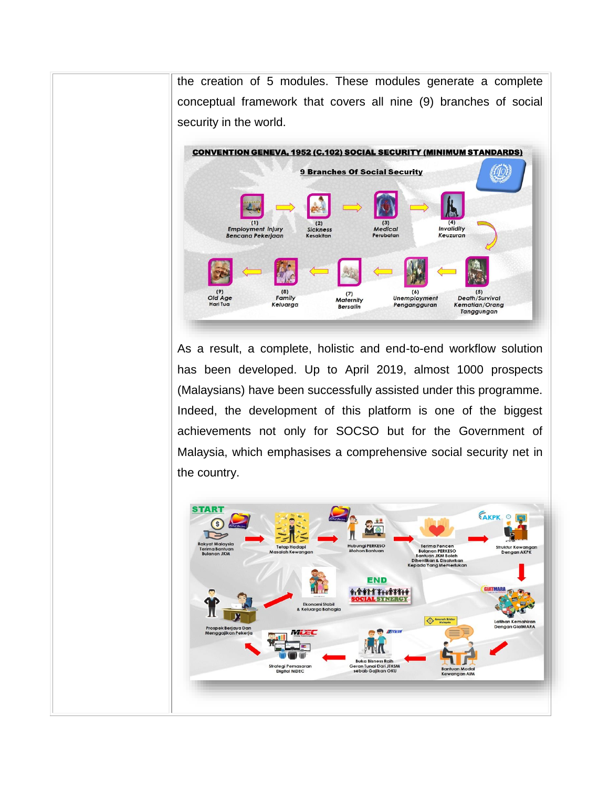the creation of 5 modules. These modules generate a complete conceptual framework that covers all nine (9) branches of social security in the world.



As a result, a complete, holistic and end-to-end workflow solution has been developed. Up to April 2019, almost 1000 prospects (Malaysians) have been successfully assisted under this programme. Indeed, the development of this platform is one of the biggest achievements not only for SOCSO but for the Government of Malaysia, which emphasises a comprehensive social security net in the country.